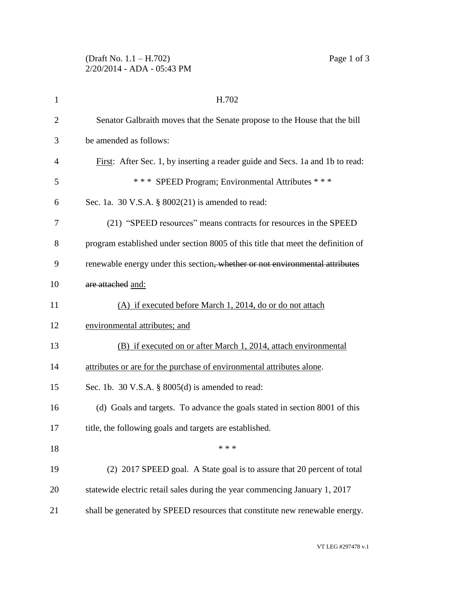| $\mathbf{1}$   | H.702                                                                            |
|----------------|----------------------------------------------------------------------------------|
| $\overline{2}$ | Senator Galbraith moves that the Senate propose to the House that the bill       |
| 3              | be amended as follows:                                                           |
| $\overline{4}$ | First: After Sec. 1, by inserting a reader guide and Secs. 1a and 1b to read:    |
| 5              | *** SPEED Program; Environmental Attributes ***                                  |
| 6              | Sec. 1a. 30 V.S.A. $\S$ 8002(21) is amended to read:                             |
| 7              | (21) "SPEED resources" means contracts for resources in the SPEED                |
| 8              | program established under section 8005 of this title that meet the definition of |
| 9              | renewable energy under this section, whether or not environmental attributes     |
| 10             | are attached and:                                                                |
| 11             | (A) if executed before March 1, 2014, do or do not attach                        |
| 12             | environmental attributes; and                                                    |
| 13             | (B) if executed on or after March 1, 2014, attach environmental                  |
| 14             | attributes or are for the purchase of environmental attributes alone.            |
| 15             | Sec. 1b. 30 V.S.A. $\S$ 8005(d) is amended to read:                              |
| 16             | (d) Goals and targets. To advance the goals stated in section 8001 of this       |
| 17             | title, the following goals and targets are established.                          |
| 18             | * * *                                                                            |
| 19             | (2) 2017 SPEED goal. A State goal is to assure that 20 percent of total          |
| 20             | statewide electric retail sales during the year commencing January 1, 2017       |
| 21             | shall be generated by SPEED resources that constitute new renewable energy.      |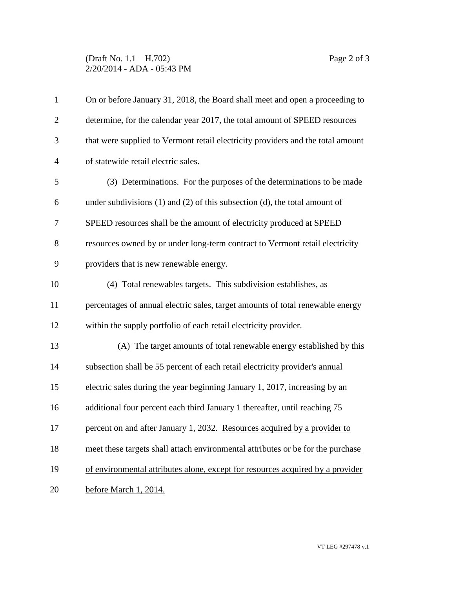## (Draft No. 1.1 – H.702) Page 2 of 3 2/20/2014 - ADA - 05:43 PM

| $\mathbf{1}$   | On or before January 31, 2018, the Board shall meet and open a proceeding to      |
|----------------|-----------------------------------------------------------------------------------|
| $\overline{2}$ | determine, for the calendar year 2017, the total amount of SPEED resources        |
| 3              | that were supplied to Vermont retail electricity providers and the total amount   |
| $\overline{4}$ | of statewide retail electric sales.                                               |
| 5              | (3) Determinations. For the purposes of the determinations to be made             |
| 6              | under subdivisions $(1)$ and $(2)$ of this subsection $(d)$ , the total amount of |
| 7              | SPEED resources shall be the amount of electricity produced at SPEED              |
| $8\,$          | resources owned by or under long-term contract to Vermont retail electricity      |
| 9              | providers that is new renewable energy.                                           |
| 10             | (4) Total renewables targets. This subdivision establishes, as                    |
| 11             | percentages of annual electric sales, target amounts of total renewable energy    |
| 12             | within the supply portfolio of each retail electricity provider.                  |
| 13             | (A) The target amounts of total renewable energy established by this              |
| 14             | subsection shall be 55 percent of each retail electricity provider's annual       |
| 15             | electric sales during the year beginning January 1, 2017, increasing by an        |
| 16             | additional four percent each third January 1 thereafter, until reaching 75        |
| 17             | percent on and after January 1, 2032. Resources acquired by a provider to         |
| 18             | meet these targets shall attach environmental attributes or be for the purchase   |
| 19             | of environmental attributes alone, except for resources acquired by a provider    |
| 20             | before March 1, 2014.                                                             |